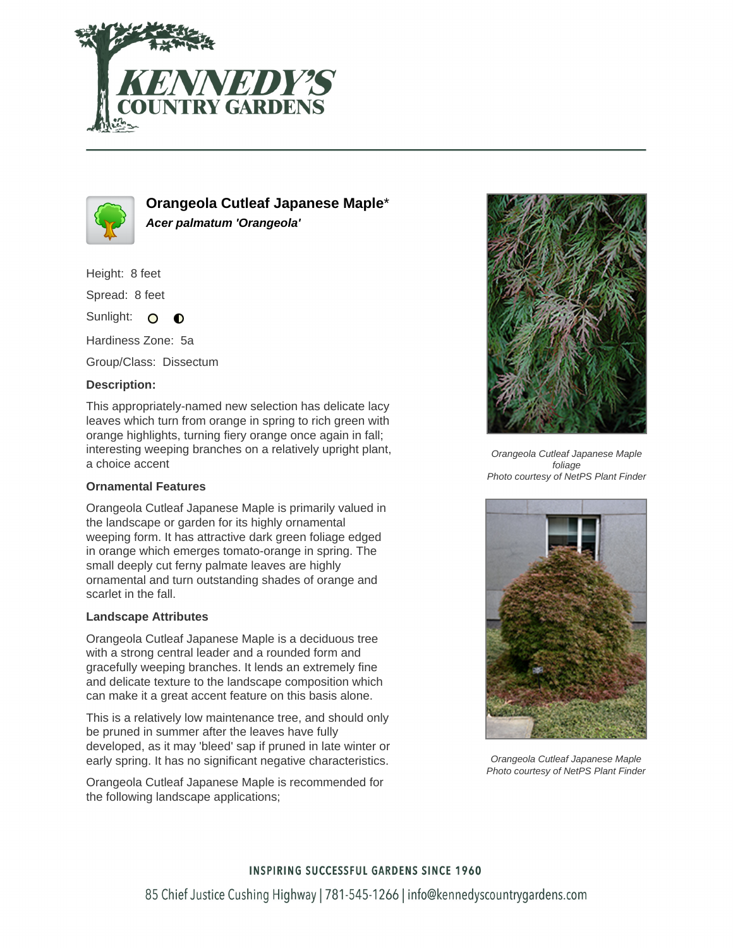



**Orangeola Cutleaf Japanese Maple**\* **Acer palmatum 'Orangeola'**

Height: 8 feet

Spread: 8 feet

Sunlight: O ∩

Hardiness Zone: 5a

Group/Class: Dissectum

### **Description:**

This appropriately-named new selection has delicate lacy leaves which turn from orange in spring to rich green with orange highlights, turning fiery orange once again in fall; interesting weeping branches on a relatively upright plant, a choice accent

#### **Ornamental Features**

Orangeola Cutleaf Japanese Maple is primarily valued in the landscape or garden for its highly ornamental weeping form. It has attractive dark green foliage edged in orange which emerges tomato-orange in spring. The small deeply cut ferny palmate leaves are highly ornamental and turn outstanding shades of orange and scarlet in the fall.

#### **Landscape Attributes**

Orangeola Cutleaf Japanese Maple is a deciduous tree with a strong central leader and a rounded form and gracefully weeping branches. It lends an extremely fine and delicate texture to the landscape composition which can make it a great accent feature on this basis alone.

This is a relatively low maintenance tree, and should only be pruned in summer after the leaves have fully developed, as it may 'bleed' sap if pruned in late winter or early spring. It has no significant negative characteristics.

Orangeola Cutleaf Japanese Maple is recommended for the following landscape applications;



Orangeola Cutleaf Japanese Maple foliage Photo courtesy of NetPS Plant Finder



Orangeola Cutleaf Japanese Maple Photo courtesy of NetPS Plant Finder

# **INSPIRING SUCCESSFUL GARDENS SINCE 1960** 85 Chief Justice Cushing Highway | 781-545-1266 | info@kennedyscountrygardens.com